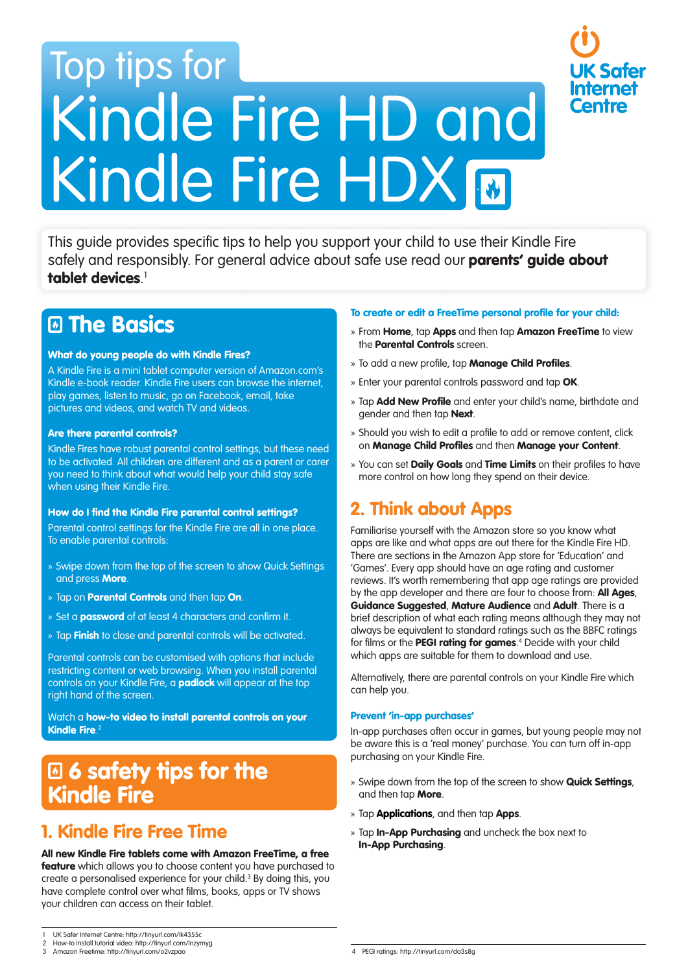# Top tips for Kindle Fire HD and Kindle Fire HDX **M**

This guide provides specific tips to help you support your child to use their Kindle Fire safely and responsibly. For general advice about safe use read our **parents' guide about** tablet devices. 1

# **El The Basics**

## What do young people do with Kindle Fires?

A Kindle Fire is a mini tablet computer version of Amazon.com's Kindle e-book reader. Kindle Fire users can browse the internet, play games, listen to music, go on Facebook, email, take pictures and videos, and watch TV and videos.

#### Are there parental controls?

Kindle Fires have robust parental control settings, but these need to be activated. All children are different and as a parent or carer you need to think about what would help your child stay safe when using their Kindle Fire.

#### How do I find the Kindle Fire parental control settings?

Parental control settings for the Kindle Fire are all in one place. To enable parental controls:

- » Swipe down from the top of the screen to show Quick Settings and press More.
- » Tap on **Parental Controls** and then tap On.
- » Set a **password** of at least 4 characters and confirm it.
- » Tap Finish to close and parental controls will be activated.

Parental controls can be customised with options that include restricting content or web browsing. When you install parental controls on your Kindle Fire, a **padlock** will appear at the top right hand of the screen.

Watch a how-to video to install parental controls on your Kindle Fire. $^2$ 

# **E 6 safety tips for the** Kindle Fire

## 1. Kindle Fire Free Time

#### All new Kindle Fire tablets come with Amazon FreeTime, a free

feature which allows you to choose content you have purchased to create a personalised experience for your child.3 By doing this, you have complete control over what films, books, apps or TV shows your children can access on their tablet.

#### To create or edit a FreeTime personal profile for your child:

» From Home, tap Apps and then tap Amazon FreeTime to view the **Parental Controls** screen.

**Safer** 

- » To add a new profile, tap **Manage Child Profiles**.
- » Enter your parental controls password and tap OK.
- » Tap **Add New Profile** and enter your child's name, birthdate and gender and then tap **Next**.
- » Should you wish to edit a profile to add or remove content, click on Manage Child Profiles and then Manage your Content.
- » You can set Daily Goals and Time Limits on their profiles to have more control on how long they spend on their device.

## 2. Think about Apps

Familiarise yourself with the Amazon store so you know what apps are like and what apps are out there for the Kindle Fire HD. There are sections in the Amazon App store for 'Education' and 'Games'. Every app should have an age rating and customer reviews. It's worth remembering that app age ratings are provided by the app developer and there are four to choose from: **All Ages**, Guidance Suggested, Mature Audience and Adult. There is a brief description of what each rating means although they may not always be equivalent to standard ratings such as the BBFC ratings for films or the **PEGI rating for games**.<sup>4</sup> Decide with your child which apps are suitable for them to download and use.

Alternatively, there are parental controls on your Kindle Fire which can help you.

#### Prevent 'in-app purchases'

In-app purchases often occur in games, but young people may not be aware this is a 'real money' purchase. You can turn off in-app purchasing on your Kindle Fire.

- » Swipe down from the top of the screen to show Quick Settings, and then tap More.
- » Tap **Applications**, and then tap **Apps.**
- » Tap **In-App Purchasing** and uncheck the box next to In-App Purchasing.

<sup>1</sup> UK Safer Internet Centre: http://tinyurl.com/lk4355c 2 How-to install tutorial video: http://tinyurl.com/lnzymyg

<sup>3</sup> Amazon Freetime: http://tinyurl.com/o2vzpao 4 PEGI ratings: http://tinyurl.com/da3s8g